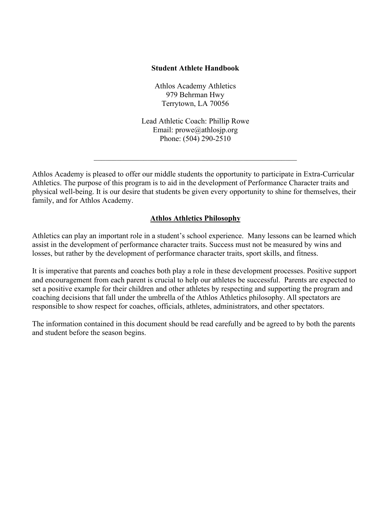#### **Student Athlete Handbook**

Athlos Academy Athletics 979 Behrman Hwy Terrytown, LA 70056

Lead Athletic Coach: Phillip Rowe Email: prowe@athlosjp.org Phone: (504) 290-2510

Athlos Academy is pleased to offer our middle students the opportunity to participate in Extra-Curricular Athletics. The purpose of this program is to aid in the development of Performance Character traits and physical well-being. It is our desire that students be given every opportunity to shine for themselves, their family, and for Athlos Academy.

# **Athlos Athletics Philosophy**

Athletics can play an important role in a student's school experience. Many lessons can be learned which assist in the development of performance character traits. Success must not be measured by wins and losses, but rather by the development of performance character traits, sport skills, and fitness.

It is imperative that parents and coaches both play a role in these development processes. Positive support and encouragement from each parent is crucial to help our athletes be successful. Parents are expected to set a positive example for their children and other athletes by respecting and supporting the program and coaching decisions that fall under the umbrella of the Athlos Athletics philosophy. All spectators are responsible to show respect for coaches, officials, athletes, administrators, and other spectators.

The information contained in this document should be read carefully and be agreed to by both the parents and student before the season begins.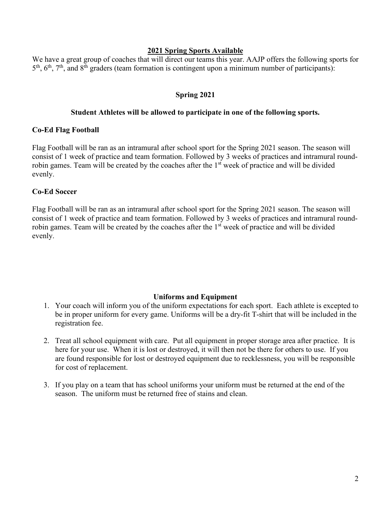#### **2021 Spring Sports Available**

We have a great group of coaches that will direct our teams this year. AAJP offers the following sports for  $5<sup>th</sup>$ ,  $6<sup>th</sup>$ ,  $7<sup>th</sup>$ , and  $8<sup>th</sup>$  graders (team formation is contingent upon a minimum number of participants):

# **Spring 2021**

#### **Student Athletes will be allowed to participate in one of the following sports.**

## **Co-Ed Flag Football**

Flag Football will be ran as an intramural after school sport for the Spring 2021 season. The season will consist of 1 week of practice and team formation. Followed by 3 weeks of practices and intramural roundrobin games. Team will be created by the coaches after the 1<sup>st</sup> week of practice and will be divided evenly.

## **Co-Ed Soccer**

Flag Football will be ran as an intramural after school sport for the Spring 2021 season. The season will consist of 1 week of practice and team formation. Followed by 3 weeks of practices and intramural roundrobin games. Team will be created by the coaches after the 1<sup>st</sup> week of practice and will be divided evenly.

## **Uniforms and Equipment**

- 1. Your coach will inform you of the uniform expectations for each sport. Each athlete is excepted to be in proper uniform for every game. Uniforms will be a dry-fit T-shirt that will be included in the registration fee.
- 2. Treat all school equipment with care. Put all equipment in proper storage area after practice. It is here for your use. When it is lost or destroyed, it will then not be there for others to use. If you are found responsible for lost or destroyed equipment due to recklessness, you will be responsible for cost of replacement.
- 3. If you play on a team that has school uniforms your uniform must be returned at the end of the season. The uniform must be returned free of stains and clean.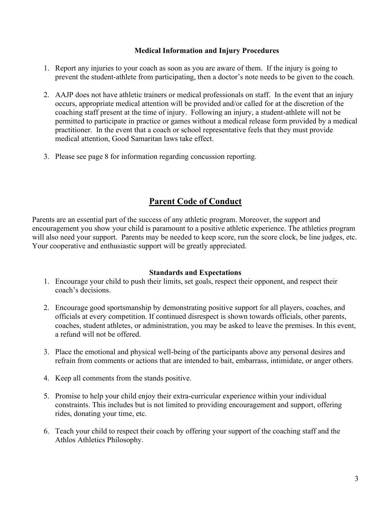# **Medical Information and Injury Procedures**

- 1. Report any injuries to your coach as soon as you are aware of them. If the injury is going to prevent the student-athlete from participating, then a doctor's note needs to be given to the coach.
- 2. AAJP does not have athletic trainers or medical professionals on staff. In the event that an injury occurs, appropriate medical attention will be provided and/or called for at the discretion of the coaching staff present at the time of injury. Following an injury, a student-athlete will not be permitted to participate in practice or games without a medical release form provided by a medical practitioner. In the event that a coach or school representative feels that they must provide medical attention, Good Samaritan laws take effect.
- 3. Please see page 8 for information regarding concussion reporting.

# **Parent Code of Conduct**

Parents are an essential part of the success of any athletic program. Moreover, the support and encouragement you show your child is paramount to a positive athletic experience. The athletics program will also need your support. Parents may be needed to keep score, run the score clock, be line judges, etc. Your cooperative and enthusiastic support will be greatly appreciated.

## **Standards and Expectations**

- 1. Encourage your child to push their limits, set goals, respect their opponent, and respect their coach's decisions.
- 2. Encourage good sportsmanship by demonstrating positive support for all players, coaches, and officials at every competition. If continued disrespect is shown towards officials, other parents, coaches, student athletes, or administration, you may be asked to leave the premises. In this event, a refund will not be offered.
- 3. Place the emotional and physical well-being of the participants above any personal desires and refrain from comments or actions that are intended to bait, embarrass, intimidate, or anger others.
- 4. Keep all comments from the stands positive.
- 5. Promise to help your child enjoy their extra-curricular experience within your individual constraints. This includes but is not limited to providing encouragement and support, offering rides, donating your time, etc.
- 6. Teach your child to respect their coach by offering your support of the coaching staff and the Athlos Athletics Philosophy.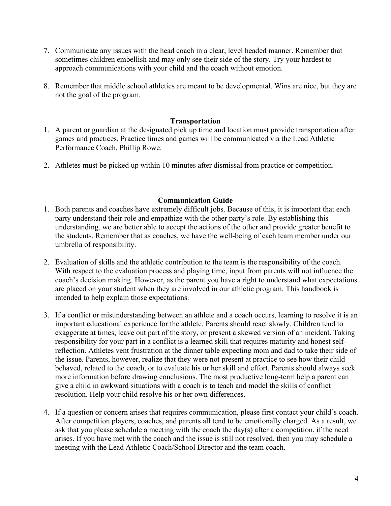- 7. Communicate any issues with the head coach in a clear, level headed manner. Remember that sometimes children embellish and may only see their side of the story. Try your hardest to approach communications with your child and the coach without emotion.
- 8. Remember that middle school athletics are meant to be developmental. Wins are nice, but they are not the goal of the program.

# **Transportation**

- 1. A parent or guardian at the designated pick up time and location must provide transportation after games and practices. Practice times and games will be communicated via the Lead Athletic Performance Coach, Phillip Rowe.
- 2. Athletes must be picked up within 10 minutes after dismissal from practice or competition.

# **Communication Guide**

- 1. Both parents and coaches have extremely difficult jobs. Because of this, it is important that each party understand their role and empathize with the other party's role. By establishing this understanding, we are better able to accept the actions of the other and provide greater benefit to the students. Remember that as coaches, we have the well-being of each team member under our umbrella of responsibility.
- 2. Evaluation of skills and the athletic contribution to the team is the responsibility of the coach. With respect to the evaluation process and playing time, input from parents will not influence the coach's decision making. However, as the parent you have a right to understand what expectations are placed on your student when they are involved in our athletic program. This handbook is intended to help explain those expectations.
- 3. If a conflict or misunderstanding between an athlete and a coach occurs, learning to resolve it is an important educational experience for the athlete. Parents should react slowly. Children tend to exaggerate at times, leave out part of the story, or present a skewed version of an incident. Taking responsibility for your part in a conflict is a learned skill that requires maturity and honest selfreflection. Athletes vent frustration at the dinner table expecting mom and dad to take their side of the issue. Parents, however, realize that they were not present at practice to see how their child behaved, related to the coach, or to evaluate his or her skill and effort. Parents should always seek more information before drawing conclusions. The most productive long-term help a parent can give a child in awkward situations with a coach is to teach and model the skills of conflict resolution. Help your child resolve his or her own differences.
- 4. If a question or concern arises that requires communication, please first contact your child's coach. After competition players, coaches, and parents all tend to be emotionally charged. As a result, we ask that you please schedule a meeting with the coach the day(s) after a competition, if the need arises. If you have met with the coach and the issue is still not resolved, then you may schedule a meeting with the Lead Athletic Coach/School Director and the team coach.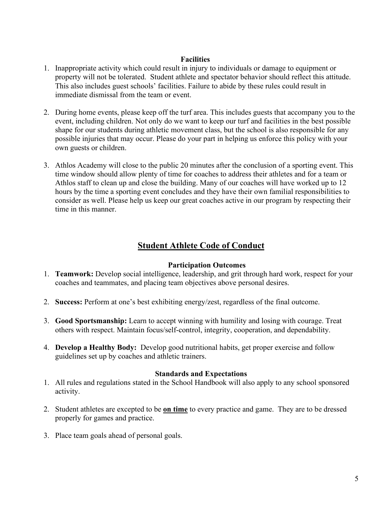# **Facilities**

- 1. Inappropriate activity which could result in injury to individuals or damage to equipment or property will not be tolerated. Student athlete and spectator behavior should reflect this attitude. This also includes guest schools' facilities. Failure to abide by these rules could result in immediate dismissal from the team or event.
- 2. During home events, please keep off the turf area. This includes guests that accompany you to the event, including children. Not only do we want to keep our turf and facilities in the best possible shape for our students during athletic movement class, but the school is also responsible for any possible injuries that may occur. Please do your part in helping us enforce this policy with your own guests or children.
- 3. Athlos Academy will close to the public 20 minutes after the conclusion of a sporting event. This time window should allow plenty of time for coaches to address their athletes and for a team or Athlos staff to clean up and close the building. Many of our coaches will have worked up to 12 hours by the time a sporting event concludes and they have their own familial responsibilities to consider as well. Please help us keep our great coaches active in our program by respecting their time in this manner.

# **Student Athlete Code of Conduct**

# **Participation Outcomes**

- 1. **Teamwork:** Develop social intelligence, leadership, and grit through hard work, respect for your coaches and teammates, and placing team objectives above personal desires.
- 2. **Success:** Perform at one's best exhibiting energy/zest, regardless of the final outcome.
- 3. **Good Sportsmanship:** Learn to accept winning with humility and losing with courage. Treat others with respect. Maintain focus/self-control, integrity, cooperation, and dependability.
- 4. **Develop a Healthy Body:** Develop good nutritional habits, get proper exercise and follow guidelines set up by coaches and athletic trainers.

## **Standards and Expectations**

- 1. All rules and regulations stated in the School Handbook will also apply to any school sponsored activity.
- 2. Student athletes are excepted to be **on time** to every practice and game. They are to be dressed properly for games and practice.
- 3. Place team goals ahead of personal goals.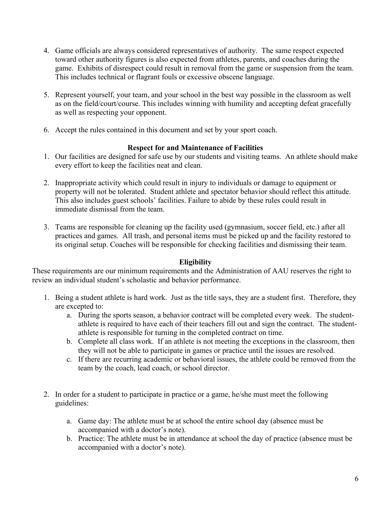- 4. Game officials are always considered representatives of authority. The same respect expected toward other authority figures is also expected from athletes, parents, and coaches during the game. Exhibits of disrespect could result in removal from the game or suspension from the team. This includes technical or flagrant fouls or excessive obscene language.
- 5. Represent yourself, your team, and your school in the best way possible in the classroom as well as on the field/court/course. This includes winning with humility and accepting defeat gracefully as well as respecting your opponent.
- 6. Accept the rules contained in this document and set by your sport coach.

# **Respect for and Maintenance of Facilities**

- 1. Our facilities are designed for safe use by our students and visiting teams. An athlete should make every effort to keep the facilities neat and clean.
- 2. Inappropriate activity which could result in injury to individuals or damage to equipment or property will not be tolerated. Student athlete and spectator behavior should reflect this attitude. This also includes guest schools' facilities. Failure to abide by these rules could result in immediate dismissal from the team.
- 3. Teams are responsible for cleaning up the facility used (gymnasium, soccer field, etc.) after all practices and games. All trash, and personal items must be picked up and the facility restored to its original setup. Coaches will be responsible for checking facilities and dismissing their team.

# **Eligibility**

These requirements are our minimum requirements and the Administration of AAU reserves the right to review an individual student's scholastic and behavior performance.

- 1. Being a student athlete is hard work. Just as the title says, they are a student first. Therefore, they are excepted to:
	- a. During the sports season, a behavior contract will be completed every week. The studentathlete is required to have each of their teachers fill out and sign the contract. The studentathlete is responsible for turning in the completed contract on time.
	- b. Complete all class work. If an athlete is not meeting the exceptions in the classroom, then they will not be able to participate in games or practice until the issues are resolved.
	- c. If there are recurring academic or behavioral issues, the athlete could be removed from the team by the coach, lead coach, or school director.
- 2. In order for a student to participate in practice or a game, he/she must meet the following guidelines:
	- a. Game day: The athlete must be at school the entire school day (absence must be accompanied with a doctor's note).
	- b. Practice: The athlete must be in attendance at school the day of practice (absence must be accompanied with a doctor's note).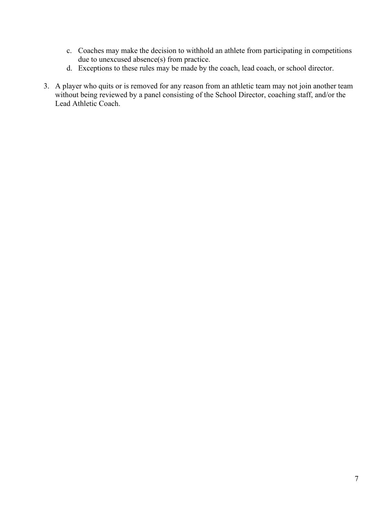- c. Coaches may make the decision to withhold an athlete from participating in competitions due to unexcused absence(s) from practice.
- d. Exceptions to these rules may be made by the coach, lead coach, or school director.
- 3. A player who quits or is removed for any reason from an athletic team may not join another team without being reviewed by a panel consisting of the School Director, coaching staff, and/or the Lead Athletic Coach.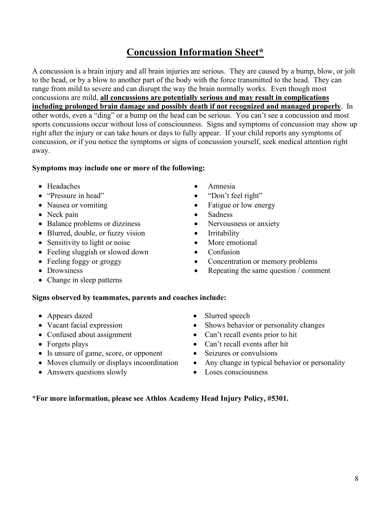# **Concussion Information Sheet\***

A concussion is a brain injury and all brain injuries are serious. They are caused by a bump, blow, or jolt to the head, or by a blow to another part of the body with the force transmitted to the head. They can range from mild to severe and can disrupt the way the brain normally works. Even though most concussions are mild, **all concussions are potentially serious and may result in complications including prolonged brain damage and possibly death if not recognized and managed properly**. In other words, even a "ding" or a bump on the head can be serious. You can't see a concussion and most sports concussions occur without loss of consciousness. Signs and symptoms of concussion may show up right after the injury or can take hours or days to fully appear. If your child reports any symptoms of concussion, or if you notice the symptoms or signs of concussion yourself, seek medical attention right away.

# **Symptoms may include one or more of the following:**

- Headaches
- "Pressure in head"
- Nausea or vomiting
- Neck pain
- Balance problems or dizziness
- Blurred, double, or fuzzy vision
- Sensitivity to light or noise
- Feeling sluggish or slowed down
- Feeling foggy or groggy
- Drowsiness
- Change in sleep patterns
- Amnesia
- "Don't feel right"
- Fatigue or low energy
- Sadness
- Nervousness or anxiety
- Irritability
- More emotional
- Confusion
- Concentration or memory problems
- Repeating the same question / comment

## **Signs observed by teammates, parents and coaches include:**

- Appears dazed
- Vacant facial expression
- Confused about assignment
- Forgets plays
- Is unsure of game, score, or opponent
- Moves clumsily or displays incoordination
- Answers questions slowly
- Slurred speech
- Shows behavior or personality changes
- Can't recall events prior to hit
- Can't recall events after hit
- Seizures or convulsions
- Any change in typical behavior or personality
- Loses consciousness

**\*For more information, please see Athlos Academy Head Injury Policy, #5301.**

8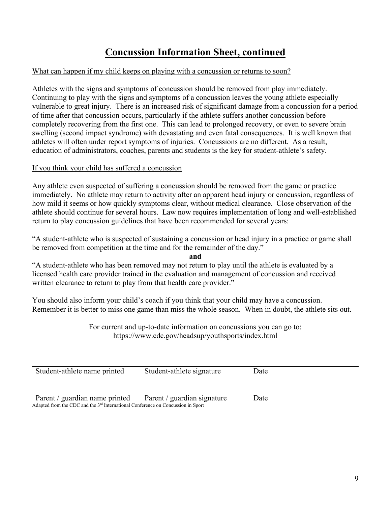# **Concussion Information Sheet, continued**

# What can happen if my child keeps on playing with a concussion or returns to soon?

Athletes with the signs and symptoms of concussion should be removed from play immediately. Continuing to play with the signs and symptoms of a concussion leaves the young athlete especially vulnerable to great injury. There is an increased risk of significant damage from a concussion for a period of time after that concussion occurs, particularly if the athlete suffers another concussion before completely recovering from the first one. This can lead to prolonged recovery, or even to severe brain swelling (second impact syndrome) with devastating and even fatal consequences. It is well known that athletes will often under report symptoms of injuries. Concussions are no different. As a result, education of administrators, coaches, parents and students is the key for student-athlete's safety.

# If you think your child has suffered a concussion

Any athlete even suspected of suffering a concussion should be removed from the game or practice immediately. No athlete may return to activity after an apparent head injury or concussion, regardless of how mild it seems or how quickly symptoms clear, without medical clearance. Close observation of the athlete should continue for several hours. Law now requires implementation of long and well-established return to play concussion guidelines that have been recommended for several years:

"A student-athlete who is suspected of sustaining a concussion or head injury in a practice or game shall be removed from competition at the time and for the remainder of the day."

**and**

"A student-athlete who has been removed may not return to play until the athlete is evaluated by a licensed health care provider trained in the evaluation and management of concussion and received written clearance to return to play from that health care provider."

You should also inform your child's coach if you think that your child may have a concussion. Remember it is better to miss one game than miss the whole season. When in doubt, the athlete sits out.

> For current and up-to-date information on concussions you can go to: https://www.cdc.gov/headsup/youthsports/index.html

| Student-athlete name printed                                                                                         | Student-athlete signature   | Date |  |
|----------------------------------------------------------------------------------------------------------------------|-----------------------------|------|--|
| Parent / guardian name printed<br>Adapted from the CDC and the $3rd$ International Conference on Concussion in Sport | Parent / guardian signature | Date |  |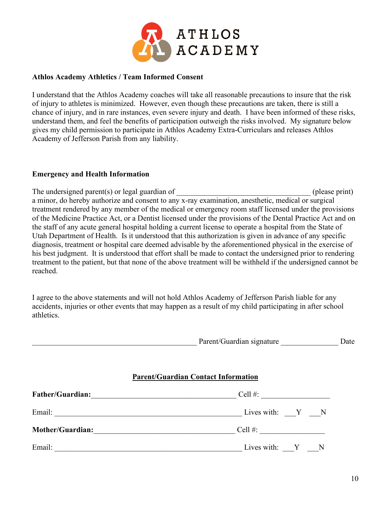

# **Athlos Academy Athletics / Team Informed Consent**

I understand that the Athlos Academy coaches will take all reasonable precautions to insure that the risk of injury to athletes is minimized. However, even though these precautions are taken, there is still a chance of injury, and in rare instances, even severe injury and death. I have been informed of these risks, understand them, and feel the benefits of participation outweigh the risks involved. My signature below gives my child permission to participate in Athlos Academy Extra-Curriculars and releases Athlos Academy of Jefferson Parish from any liability.

# **Emergency and Health Information**

The undersigned parent(s) or legal guardian of  $(please print)$ a minor, do hereby authorize and consent to any x-ray examination, anesthetic, medical or surgical treatment rendered by any member of the medical or emergency room staff licensed under the provisions of the Medicine Practice Act, or a Dentist licensed under the provisions of the Dental Practice Act and on the staff of any acute general hospital holding a current license to operate a hospital from the State of Utah Department of Health. Is it understood that this authorization is given in advance of any specific diagnosis, treatment or hospital care deemed advisable by the aforementioned physical in the exercise of his best judgment. It is understood that effort shall be made to contact the undersigned prior to rendering treatment to the patient, but that none of the above treatment will be withheld if the undersigned cannot be reached.

I agree to the above statements and will not hold Athlos Academy of Jefferson Parish liable for any accidents, injuries or other events that may happen as a result of my child participating in after school athletics.

Parent/Guardian signature Date

# **Parent/Guardian Contact Information**

| <b>Father/Guardian:</b> | Cell $#$ :      |
|-------------------------|-----------------|
| Email:                  | Lives with: Y N |
| Mother/Guardian:        | Cell $#$ :      |
| Email:                  | Lives with: Y N |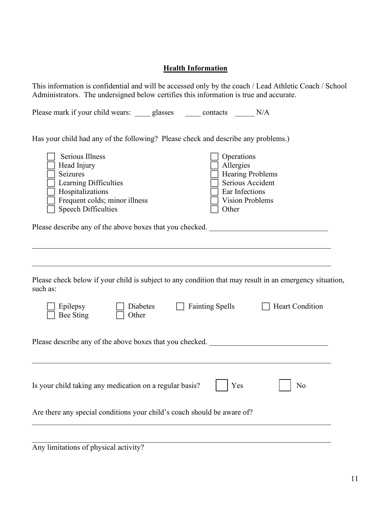# **Health Information**

This information is confidential and will be accessed only by the coach / Lead Athletic Coach / School Administrators. The undersigned below certifies this information is true and accurate.

| Please mark if your child wears: glasses contacts                                                                                                                                                                                                  |                                                                                                  | N/A                     |
|----------------------------------------------------------------------------------------------------------------------------------------------------------------------------------------------------------------------------------------------------|--------------------------------------------------------------------------------------------------|-------------------------|
| Has your child had any of the following? Please check and describe any problems.)<br><b>Serious Illness</b><br>Head Injury<br>Seizures<br>Learning Difficulties<br>Hospitalizations<br>Frequent colds; minor illness<br><b>Speech Difficulties</b> | Operations<br>Allergies<br>Serious Accident<br>Ear Infections<br><b>Vision Problems</b><br>Other | <b>Hearing Problems</b> |
| Please describe any of the above boxes that you checked.                                                                                                                                                                                           |                                                                                                  |                         |
| Please check below if your child is subject to any condition that may result in an emergency situation,<br>such as:<br>Diabetes<br>Epilepsy<br>Bee Sting<br>Other                                                                                  | <b>Fainting Spells</b>                                                                           | <b>Heart Condition</b>  |
| Please describe any of the above boxes that you checked.                                                                                                                                                                                           |                                                                                                  |                         |
| Is your child taking any medication on a regular basis?                                                                                                                                                                                            | Yes                                                                                              | No                      |
| Are there any special conditions your child's coach should be aware of?                                                                                                                                                                            |                                                                                                  |                         |
|                                                                                                                                                                                                                                                    |                                                                                                  |                         |

Any limitations of physical activity?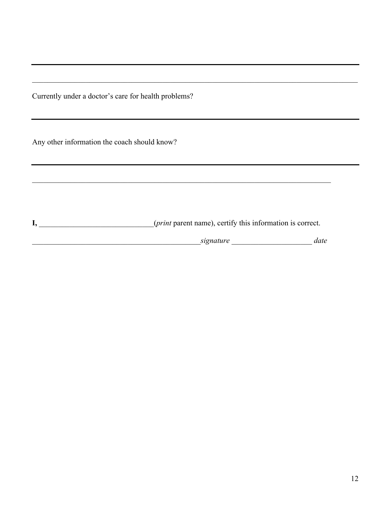Any other information the coach should know?

**I,** \_\_\_\_\_\_\_\_\_\_\_\_\_\_\_\_\_\_\_\_\_\_\_\_\_\_\_\_\_\_(*print* parent name), certify this information is correct.

\_\_\_\_\_\_\_\_\_\_\_\_\_\_\_\_\_\_\_\_\_\_\_\_\_\_\_\_\_\_\_\_\_\_\_\_\_\_\_\_\_\_\_\_\_\_\_\_\_\_\_\_\_\_\_\_\_\_\_\_\_\_\_\_\_\_\_\_\_\_\_\_\_\_\_\_\_\_

 $\mathcal{L}_\mathcal{L}$  , and the contribution of the contribution of the contribution of the contribution of the contribution of the contribution of the contribution of the contribution of the contribution of the contribution of

and the control of the control of the control of the control of the control of the control of the control of the

\_\_\_\_\_\_\_\_\_\_\_\_\_\_\_\_\_\_\_\_\_\_\_\_\_\_\_\_\_\_\_\_\_\_\_\_\_\_\_\_\_\_\_\_*signature* \_\_\_\_\_\_\_\_\_\_\_\_\_\_\_\_\_\_\_\_\_ *date*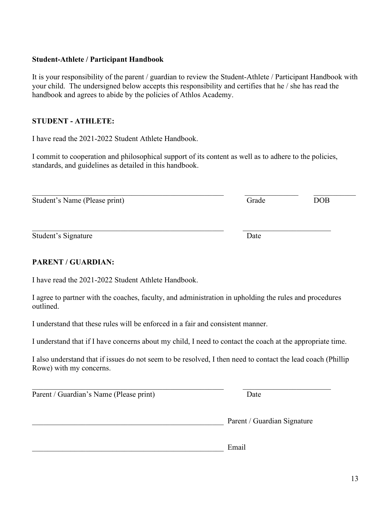# **Student-Athlete / Participant Handbook**

It is your responsibility of the parent / guardian to review the Student-Athlete / Participant Handbook with your child. The undersigned below accepts this responsibility and certifies that he / she has read the handbook and agrees to abide by the policies of Athlos Academy.

# **STUDENT - ATHLETE:**

I have read the 2021-2022 Student Athlete Handbook.

I commit to cooperation and philosophical support of its content as well as to adhere to the policies, standards, and guidelines as detailed in this handbook.

| Student's Name (Please print) | Grade | <b>DOB</b> |  |
|-------------------------------|-------|------------|--|
|                               |       |            |  |
| Student's Signature           | Date  |            |  |
|                               |       |            |  |

## **PARENT / GUARDIAN:**

I have read the 2021-2022 Student Athlete Handbook.

I agree to partner with the coaches, faculty, and administration in upholding the rules and procedures outlined.

I understand that these rules will be enforced in a fair and consistent manner.

I understand that if I have concerns about my child, I need to contact the coach at the appropriate time.

I also understand that if issues do not seem to be resolved, I then need to contact the lead coach (Phillip Rowe) with my concerns.

| Parent / Guardian's Name (Please print) | Date                        |
|-----------------------------------------|-----------------------------|
|                                         | Parent / Guardian Signature |
|                                         | Email                       |